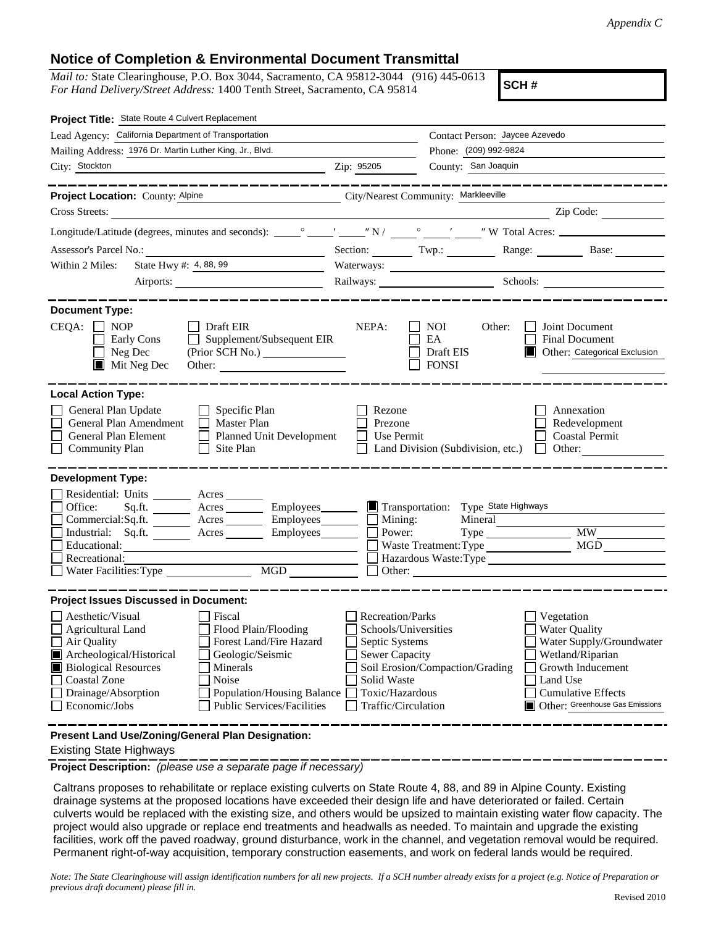## **Notice of Completion & Environmental Document Transmittal**

*Mail to:* State Clearinghouse, P.O. Box 3044, Sacramento, CA 95812-3044 (916) 445-0613 *For Hand Delivery/Street Address:* 1400 Tenth Street, Sacramento, CA 95814

**SCH #**

| Project Title: State Route 4 Culvert Replacement                                                                                                                                                                                                                                                                                                                    |                                                                                                                                              |                                                                                   |                                                                                                                                                                                     |
|---------------------------------------------------------------------------------------------------------------------------------------------------------------------------------------------------------------------------------------------------------------------------------------------------------------------------------------------------------------------|----------------------------------------------------------------------------------------------------------------------------------------------|-----------------------------------------------------------------------------------|-------------------------------------------------------------------------------------------------------------------------------------------------------------------------------------|
| Lead Agency: California Department of Transportation                                                                                                                                                                                                                                                                                                                |                                                                                                                                              | Contact Person: Jaycee Azevedo                                                    |                                                                                                                                                                                     |
| Mailing Address: 1976 Dr. Martin Luther King, Jr., Blvd.                                                                                                                                                                                                                                                                                                            |                                                                                                                                              | Phone: (209) 992-9824                                                             |                                                                                                                                                                                     |
| City: Stockton<br><u> 1989 - Johann Barbara, martin amerikan basal dan berasal dalam basal dalam basal dalam basal dalam basal dala</u>                                                                                                                                                                                                                             | Zip: 95205                                                                                                                                   | County: San Joaquin                                                               |                                                                                                                                                                                     |
|                                                                                                                                                                                                                                                                                                                                                                     |                                                                                                                                              |                                                                                   |                                                                                                                                                                                     |
| Project Location: County: Alpine<br>City/Nearest Community: Markleeville                                                                                                                                                                                                                                                                                            |                                                                                                                                              |                                                                                   |                                                                                                                                                                                     |
| <b>Cross Streets:</b>                                                                                                                                                                                                                                                                                                                                               |                                                                                                                                              |                                                                                   | Zip Code:                                                                                                                                                                           |
|                                                                                                                                                                                                                                                                                                                                                                     |                                                                                                                                              |                                                                                   |                                                                                                                                                                                     |
|                                                                                                                                                                                                                                                                                                                                                                     |                                                                                                                                              |                                                                                   | Section: Twp.: Range: Base:                                                                                                                                                         |
| State Hwy #: 4, 88, 99<br>Within 2 Miles:                                                                                                                                                                                                                                                                                                                           |                                                                                                                                              |                                                                                   |                                                                                                                                                                                     |
| Airports:                                                                                                                                                                                                                                                                                                                                                           |                                                                                                                                              | Railways: Schools: Schools:                                                       |                                                                                                                                                                                     |
|                                                                                                                                                                                                                                                                                                                                                                     |                                                                                                                                              |                                                                                   |                                                                                                                                                                                     |
| <b>Document Type:</b><br>$CEQA: \Box NOP$<br>$\Box$ Draft EIR<br>Supplement/Subsequent EIR<br>Early Cons<br>Neg Dec<br>$\blacksquare$ Mit Neg Dec                                                                                                                                                                                                                   | NEPA:                                                                                                                                        | <b>NOI</b><br>Other:<br>EA<br>Draft EIS<br><b>FONSI</b>                           | Joint Document<br>Final Document<br>Other: Categorical Exclusion                                                                                                                    |
| <b>Local Action Type:</b><br>General Plan Update<br>$\Box$ Specific Plan<br>General Plan Amendment<br>$\Box$ Master Plan<br>General Plan Element<br><b>Planned Unit Development</b><br><b>Community Plan</b><br>Site Plan                                                                                                                                           | Rezone<br>Prezone<br>Use Permit                                                                                                              | Land Division (Subdivision, etc.)                                                 | Annexation<br>Redevelopment<br><b>Coastal Permit</b><br>Other:<br>$\mathbf{L}$                                                                                                      |
| <b>Development Type:</b>                                                                                                                                                                                                                                                                                                                                            |                                                                                                                                              |                                                                                   |                                                                                                                                                                                     |
| Residential: Units ________ Acres _______<br>Office:<br>Acres __________ Employees________<br>Sq.ft.<br>$Commercial:Sq.fit.$ Acres Employees $\Box$ Mining:<br>Industrial: Sq.ft. _______ Acres _______ Employees_______ $\Box$<br>Educational:<br>Recreational:<br>MGD                                                                                             | Power:                                                                                                                                       | Transportation: Type State Highways<br>Mineral<br>Waste Treatment: Type<br>Other: | MGD<br>Hazardous Waste:Type                                                                                                                                                         |
| <b>Project Issues Discussed in Document:</b>                                                                                                                                                                                                                                                                                                                        |                                                                                                                                              |                                                                                   |                                                                                                                                                                                     |
| Aesthetic/Visual<br>Fiscal<br><b>Agricultural Land</b><br>Flood Plain/Flooding<br>Forest Land/Fire Hazard<br>Air Quality<br>Archeological/Historical<br>Geologic/Seismic<br>П<br><b>Biological Resources</b><br>Minerals<br><b>Coastal Zone</b><br>Noise<br>Drainage/Absorption<br>Population/Housing Balance<br>Economic/Jobs<br><b>Public Services/Facilities</b> | Recreation/Parks<br>Schools/Universities<br>Septic Systems<br><b>Sewer Capacity</b><br>Solid Waste<br>Toxic/Hazardous<br>Traffic/Circulation | Soil Erosion/Compaction/Grading                                                   | Vegetation<br><b>Water Quality</b><br>Water Supply/Groundwater<br>Wetland/Riparian<br>Growth Inducement<br>Land Use<br><b>Cumulative Effects</b><br>Other: Greenhouse Gas Emissions |
| Present Land Use/Zoning/General Plan Designation:                                                                                                                                                                                                                                                                                                                   |                                                                                                                                              |                                                                                   |                                                                                                                                                                                     |

Existing State Highways

**Project Description:** *(please use a separate page if necessary)*

 Caltrans proposes to rehabilitate or replace existing culverts on State Route 4, 88, and 89 in Alpine County. Existing drainage systems at the proposed locations have exceeded their design life and have deteriorated or failed. Certain culverts would be replaced with the existing size, and others would be upsized to maintain existing water flow capacity. The project would also upgrade or replace end treatments and headwalls as needed. To maintain and upgrade the existing facilities, work off the paved roadway, ground disturbance, work in the channel, and vegetation removal would be required. Permanent right-of-way acquisition, temporary construction easements, and work on federal lands would be required.

*Note: The State Clearinghouse will assign identification numbers for all new projects. If a SCH number already exists for a project (e.g. Notice of Preparation or previous draft document) please fill in.*